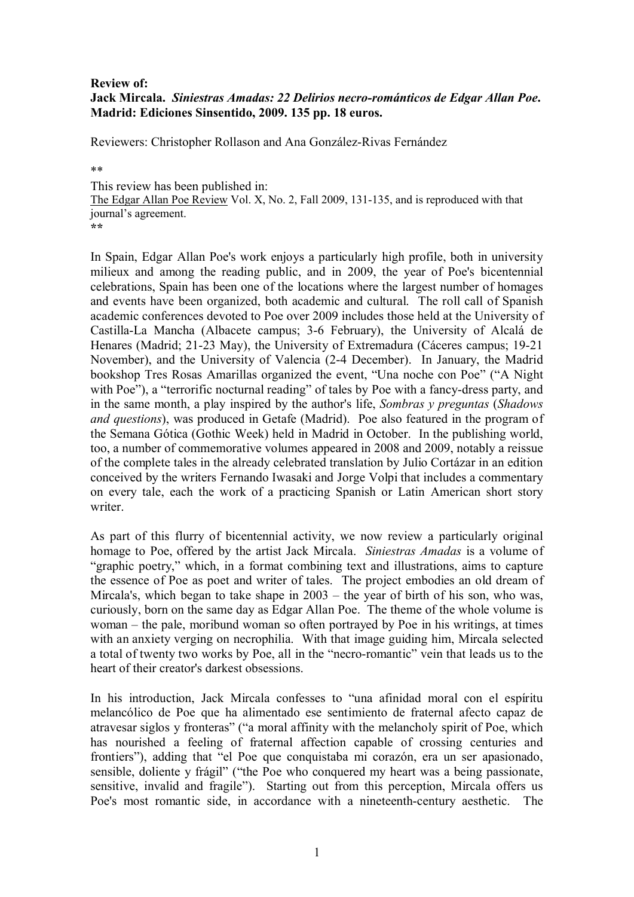## **Review of: Jack Mircala.** *Siniestras Amadas: 22 Delirios necro-románticos de Edgar Allan Poe***. Madrid: Ediciones Sinsentido, 2009. 135 pp. 18 euros.**

Reviewers: Christopher Rollason and Ana González-Rivas Fernández

\*\*

This review has been published in: The Edgar Allan Poe Review Vol. X, No. 2, Fall 2009, 131-135, and is reproduced with that journal's agreement. **\*\***

In Spain, Edgar Allan Poe's work enjoys a particularly high profile, both in university milieux and among the reading public, and in 2009, the year of Poe's bicentennial celebrations, Spain has been one of the locations where the largest number of homages and events have been organized, both academic and cultural. The roll call of Spanish academic conferences devoted to Poe over 2009 includes those held at the University of Castilla-La Mancha (Albacete campus; 3-6 February), the University of Alcalá de Henares (Madrid; 21-23 May), the University of Extremadura (Cáceres campus; 19-21 November), and the University of Valencia (2-4 December). In January, the Madrid bookshop Tres Rosas Amarillas organized the event, "Una noche con Poe" ("A Night with Poe"), a "terrorific nocturnal reading" of tales by Poe with a fancy-dress party, and in the same month, a play inspired by the author's life, *Sombras y preguntas* (*Shadows and questions*), was produced in Getafe (Madrid). Poe also featured in the program of the Semana Gótica (Gothic Week) held in Madrid in October. In the publishing world, too, a number of commemorative volumes appeared in 2008 and 2009, notably a reissue of the complete tales in the already celebrated translation by Julio Cortázar in an edition conceived by the writers Fernando Iwasaki and Jorge Volpi that includes a commentary on every tale, each the work of a practicing Spanish or Latin American short story writer.

As part of this flurry of bicentennial activity, we now review a particularly original homage to Poe, offered by the artist Jack Mircala. *Siniestras Amadas* is a volume of "graphic poetry," which, in a format combining text and illustrations, aims to capture the essence of Poe as poet and writer of tales. The project embodies an old dream of Mircala's, which began to take shape in 2003 – the year of birth of his son, who was, curiously, born on the same day as Edgar Allan Poe. The theme of the whole volume is woman – the pale, moribund woman so often portrayed by Poe in his writings, at times with an anxiety verging on necrophilia. With that image guiding him, Mircala selected a total of twenty two works by Poe, all in the "necro-romantic" vein that leads us to the heart of their creator's darkest obsessions.

In his introduction, Jack Mircala confesses to "una afinidad moral con el espíritu melancólico de Poe que ha alimentado ese sentimiento de fraternal afecto capaz de atravesar siglos y fronteras" ("a moral affinity with the melancholy spirit of Poe, which has nourished a feeling of fraternal affection capable of crossing centuries and frontiers"), adding that "el Poe que conquistaba mi corazón, era un ser apasionado, sensible, doliente y frágil" ("the Poe who conquered my heart was a being passionate, sensitive, invalid and fragile"). Starting out from this perception, Mircala offers us Poe's most romantic side, in accordance with a nineteenth-century aesthetic. The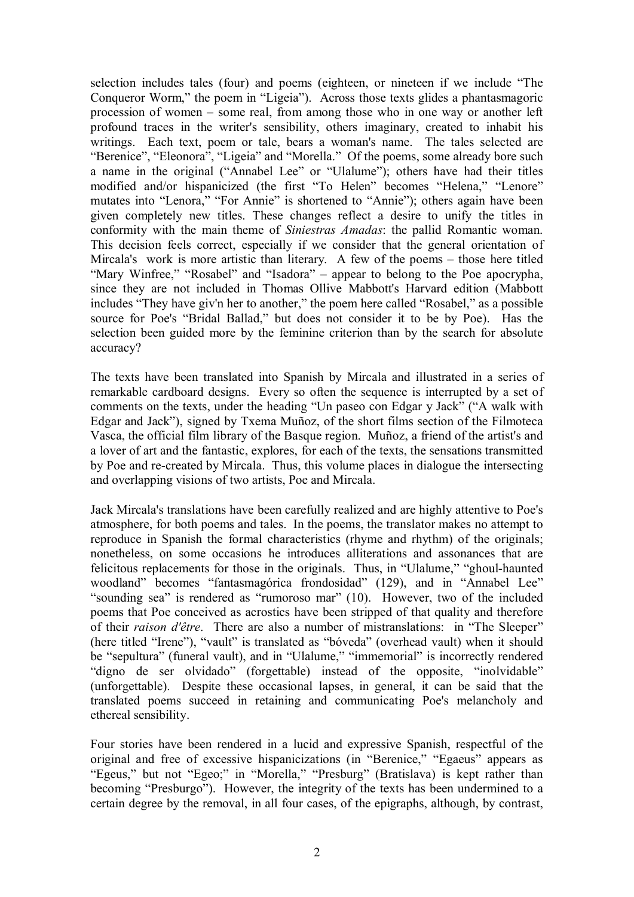selection includes tales (four) and poems (eighteen, or nineteen if we include "The Conqueror Worm," the poem in "Ligeia"). Across those texts glides a phantasmagoric procession of women – some real, from among those who in one way or another left profound traces in the writer's sensibility, others imaginary, created to inhabit his writings. Each text, poem or tale, bears a woman's name. The tales selected are "Berenice", "Eleonora", "Ligeia" and "Morella." Of the poems, some already bore such a name in the original ("Annabel Lee" or "Ulalume"); others have had their titles modified and/or hispanicized (the first "To Helen" becomes "Helena," "Lenore" mutates into "Lenora," "For Annie" is shortened to "Annie"); others again have been given completely new titles. These changes reflect a desire to unify the titles in conformity with the main theme of *Siniestras Amadas*: the pallid Romantic woman. This decision feels correct, especially if we consider that the general orientation of Mircala's work is more artistic than literary. A few of the poems – those here titled "Mary Winfree," "Rosabel" and "Isadora" – appear to belong to the Poe apocrypha, since they are not included in Thomas Ollive Mabbott's Harvard edition (Mabbott includes "They have giv'n her to another," the poem here called "Rosabel," as a possible source for Poe's "Bridal Ballad," but does not consider it to be by Poe). Has the selection been guided more by the feminine criterion than by the search for absolute accuracy?

The texts have been translated into Spanish by Mircala and illustrated in a series of remarkable cardboard designs. Every so often the sequence is interrupted by a set of comments on the texts, under the heading "Un paseo con Edgar y Jack" ("A walk with Edgar and Jack"), signed by Txema Muñoz, of the short films section of the Filmoteca Vasca, the official film library of the Basque region. Muñoz, a friend of the artist's and a lover of art and the fantastic, explores, for each of the texts, the sensations transmitted by Poe and re-created by Mircala. Thus, this volume places in dialogue the intersecting and overlapping visions of two artists, Poe and Mircala.

Jack Mircala's translations have been carefully realized and are highly attentive to Poe's atmosphere, for both poems and tales. In the poems, the translator makes no attempt to reproduce in Spanish the formal characteristics (rhyme and rhythm) of the originals; nonetheless, on some occasions he introduces alliterations and assonances that are felicitous replacements for those in the originals. Thus, in "Ulalume," "ghoul-haunted woodland" becomes "fantasmagórica frondosidad" (129), and in "Annabel Lee" "sounding sea" is rendered as "rumoroso mar" (10). However, two of the included poems that Poe conceived as acrostics have been stripped of that quality and therefore of their *raison d'être*. There are also a number of mistranslations: in "The Sleeper" (here titled "Irene"), "vault" is translated as "bóveda" (overhead vault) when it should be "sepultura" (funeral vault), and in "Ulalume," "immemorial" is incorrectly rendered "digno de ser olvidado" (forgettable) instead of the opposite, "inolvidable" (unforgettable). Despite these occasional lapses, in general, it can be said that the translated poems succeed in retaining and communicating Poe's melancholy and ethereal sensibility.

Four stories have been rendered in a lucid and expressive Spanish, respectful of the original and free of excessive hispanicizations (in "Berenice," "Egaeus" appears as "Egeus," but not "Egeo;" in "Morella," "Presburg" (Bratislava) is kept rather than becoming "Presburgo"). However, the integrity of the texts has been undermined to a certain degree by the removal, in all four cases, of the epigraphs, although, by contrast,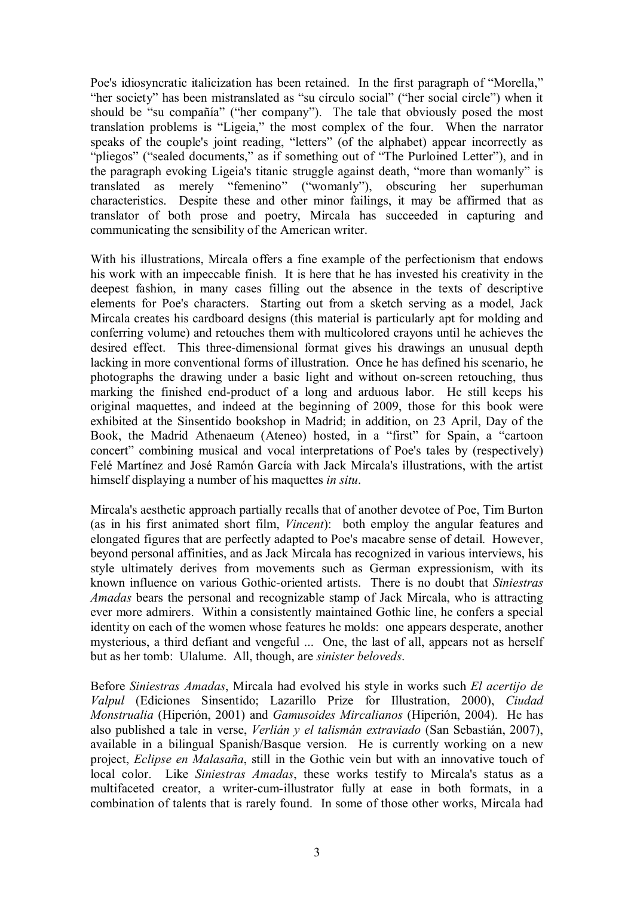Poe's idiosyncratic italicization has been retained. In the first paragraph of "Morella," "her society" has been mistranslated as "su círculo social" ("her social circle") when it should be "su compañía" ("her company"). The tale that obviously posed the most translation problems is "Ligeia," the most complex of the four. When the narrator speaks of the couple's joint reading, "letters" (of the alphabet) appear incorrectly as "pliegos" ("sealed documents," as if something out of "The Purloined Letter"), and in the paragraph evoking Ligeia's titanic struggle against death, "more than womanly" is translated as merely "femenino" ("womanly"), obscuring her superhuman characteristics. Despite these and other minor failings, it may be affirmed that as translator of both prose and poetry, Mircala has succeeded in capturing and communicating the sensibility of the American writer.

With his illustrations, Mircala offers a fine example of the perfectionism that endows his work with an impeccable finish. It is here that he has invested his creativity in the deepest fashion, in many cases filling out the absence in the texts of descriptive elements for Poe's characters. Starting out from a sketch serving as a model, Jack Mircala creates his cardboard designs (this material is particularly apt for molding and conferring volume) and retouches them with multicolored crayons until he achieves the desired effect. This three-dimensional format gives his drawings an unusual depth lacking in more conventional forms of illustration. Once he has defined his scenario, he photographs the drawing under a basic light and without on-screen retouching, thus marking the finished end-product of a long and arduous labor. He still keeps his original maquettes, and indeed at the beginning of 2009, those for this book were exhibited at the Sinsentido bookshop in Madrid; in addition, on 23 April, Day of the Book, the Madrid Athenaeum (Ateneo) hosted, in a "first" for Spain, a "cartoon concert" combining musical and vocal interpretations of Poe's tales by (respectively) Felé Martínez and José Ramón García with Jack Mircala's illustrations, with the artist himself displaying a number of his maquettes *in situ*.

Mircala's aesthetic approach partially recalls that of another devotee of Poe, Tim Burton (as in his first animated short film, *Vincent*): both employ the angular features and elongated figures that are perfectly adapted to Poe's macabre sense of detail. However, beyond personal affinities, and as Jack Mircala has recognized in various interviews, his style ultimately derives from movements such as German expressionism, with its known influence on various Gothic-oriented artists. There is no doubt that *Siniestras Amadas* bears the personal and recognizable stamp of Jack Mircala, who is attracting ever more admirers. Within a consistently maintained Gothic line, he confers a special identity on each of the women whose features he molds: one appears desperate, another mysterious, a third defiant and vengeful ... One, the last of all, appears not as herself but as her tomb: Ulalume. All, though, are *sinister beloveds*.

Before *Siniestras Amadas*, Mircala had evolved his style in works such *El acertijo de Valpul* (Ediciones Sinsentido; Lazarillo Prize for Illustration, 2000), *Ciudad Monstrualia* (Hiperión, 2001) and *Gamusoides Mircalianos* (Hiperión, 2004). He has also published a tale in verse, *Verlián y el talismán extraviado* (San Sebastián, 2007), available in a bilingual Spanish/Basque version. He is currently working on a new project, *Eclipse en Malasaña*, still in the Gothic vein but with an innovative touch of local color. Like *Siniestras Amadas*, these works testify to Mircala's status as a multifaceted creator, a writer-cum-illustrator fully at ease in both formats, in a combination of talents that is rarely found. In some of those other works, Mircala had